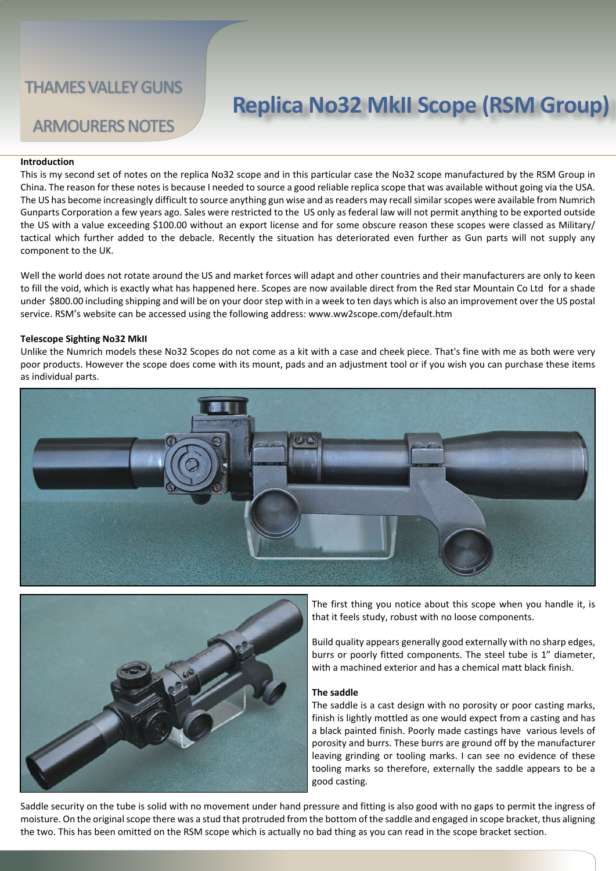# **Replica No32 MkII Scope (RSM Group)**

## ARMOURERS NOTES

#### **Introduction**

This is my second set of notes on the replica No32 scope and in this particular case the No32 scope manufactured by the RSM Group in China. The reason for these notes is because I needed to source a good reliable replica scope that was available without going via the USA. The US has become increasingly difficult to source anything gun wise and as readers may recall similar scopes were available from Numrich Gunparts Corporation a few years ago. Sales were restricted to the US only as federal law will not permit anything to be exported outside the US with a value exceeding \$100.00 without an export license and for some obscure reason these scopes were classed as Military/ tactical which further added to the debacle. Recently the situation has deteriorated even further as Gun parts will not supply any component to the UK.

Well the world does not rotate around the US and market forces will adapt and other countries and their manufacturers are only to keen to fill the void, which is exactly what has happened here. Scopes are now available direct from the Red star Mountain Co Ltd for a shade under \$800.00 including shipping and will be on your door step with in a week to ten days which is also an improvement over the US postal service. RSM's website can be accessed using the following address: www.ww2scope.com/default.htm

#### **Telescope Sighting No32 MkII**

Unlike the Numrich models these No32 Scopes do not come as a kit with a case and cheek piece. That's fine with me as both were very poor products. However the scope does come with its mount, pads and an adjustment tool or if you wish you can purchase these items as individual parts.





The first thing you notice about this scope when you handle it, is that it feels study, robust with no loose components.

Build quality appears generally good externally with no sharp edges, burrs or poorly fitted components. The steel tube is 1" diameter, with a machined exterior and has a chemical matt black finish.

#### **The saddle**

The saddle is a cast design with no porosity or poor casting marks, finish is lightly mottled as one would expect from a casting and has a black painted finish. Poorly made castings have various levels of porosity and burrs. These burrs are ground off by the manufacturer leaving grinding or tooling marks. I can see no evidence of these tooling marks so therefore, externally the saddle appears to be a good casting.

Saddle security on the tube is solid with no movement under hand pressure and fitting is also good with no gaps to permit the ingress of moisture. On the original scope there was a stud that protruded from the bottom of the saddle and engaged in scope bracket, thus aligning the two. This has been omitted on the RSM scope which is actually no bad thing as you can read in the scope bracket section.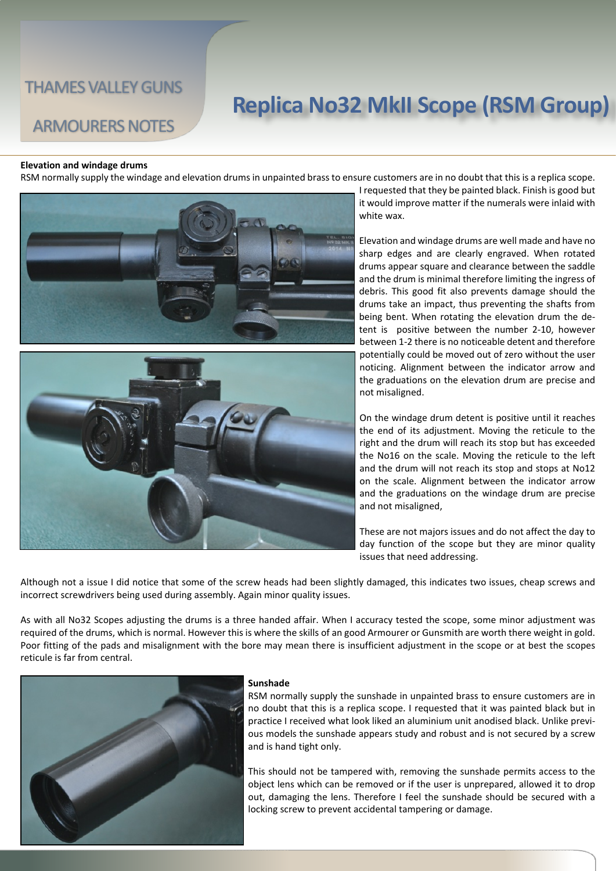## ARMOURERS NOTES

# **Replica No32 MkII Scope (RSM Group)**

#### **Elevation and windage drums**

RSM normally supply the windage and elevation drums in unpainted brass to ensure customers are in no doubt that this is a replica scope.





I requested that they be painted black. Finish is good but it would improve matter if the numerals were inlaid with white wax.

Elevation and windage drums are well made and have no sharp edges and are clearly engraved. When rotated drums appear square and clearance between the saddle and the drum is minimal therefore limiting the ingress of debris. This good fit also prevents damage should the drums take an impact, thus preventing the shafts from being bent. When rotating the elevation drum the detent is positive between the number 2-10, however between 1-2 there is no noticeable detent and therefore potentially could be moved out of zero without the user noticing. Alignment between the indicator arrow and the graduations on the elevation drum are precise and not misaligned.

On the windage drum detent is positive until it reaches the end of its adjustment. Moving the reticule to the right and the drum will reach its stop but has exceeded the No16 on the scale. Moving the reticule to the left and the drum will not reach its stop and stops at No12 on the scale. Alignment between the indicator arrow and the graduations on the windage drum are precise and not misaligned,

These are not majors issues and do not affect the day to day function of the scope but they are minor quality issues that need addressing.

Although not a issue I did notice that some of the screw heads had been slightly damaged, this indicates two issues, cheap screws and incorrect screwdrivers being used during assembly. Again minor quality issues.

As with all No32 Scopes adjusting the drums is a three handed affair. When I accuracy tested the scope, some minor adjustment was required of the drums, which is normal. However this is where the skills of an good Armourer or Gunsmith are worth there weight in gold. Poor fitting of the pads and misalignment with the bore may mean there is insufficient adjustment in the scope or at best the scopes reticule is far from central.



#### **Sunshade**

RSM normally supply the sunshade in unpainted brass to ensure customers are in no doubt that this is a replica scope. I requested that it was painted black but in practice I received what look liked an aluminium unit anodised black. Unlike previous models the sunshade appears study and robust and is not secured by a screw and is hand tight only.

This should not be tampered with, removing the sunshade permits access to the object lens which can be removed or if the user is unprepared, allowed it to drop out, damaging the lens. Therefore I feel the sunshade should be secured with a locking screw to prevent accidental tampering or damage.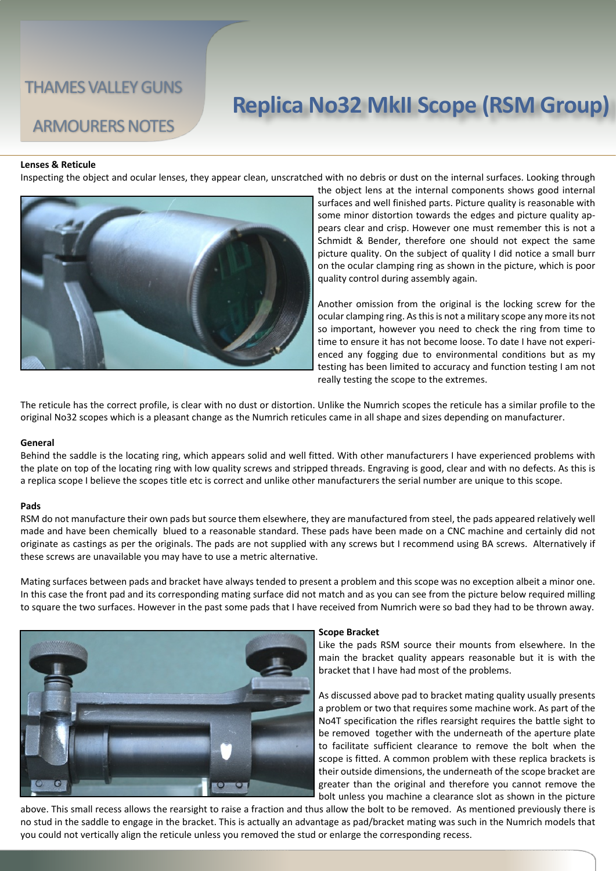## ARMOURERS NOTES

# **Replica No32 MkII Scope (RSM Group)**

#### **Lenses & Reticule**

Inspecting the object and ocular lenses, they appear clean, unscratched with no debris or dust on the internal surfaces. Looking through



the object lens at the internal components shows good internal surfaces and well finished parts. Picture quality is reasonable with some minor distortion towards the edges and picture quality appears clear and crisp. However one must remember this is not a Schmidt & Bender, therefore one should not expect the same picture quality. On the subject of quality I did notice a small burr on the ocular clamping ring as shown in the picture, which is poor quality control during assembly again.

Another omission from the original is the locking screw for the ocular clamping ring. As this is not a military scope any more its not so important, however you need to check the ring from time to time to ensure it has not become loose. To date I have not experienced any fogging due to environmental conditions but as my testing has been limited to accuracy and function testing I am not really testing the scope to the extremes.

The reticule has the correct profile, is clear with no dust or distortion. Unlike the Numrich scopes the reticule has a similar profile to the original No32 scopes which is a pleasant change as the Numrich reticules came in all shape and sizes depending on manufacturer.

#### **General**

Behind the saddle is the locating ring, which appears solid and well fitted. With other manufacturers I have experienced problems with the plate on top of the locating ring with low quality screws and stripped threads. Engraving is good, clear and with no defects. As this is a replica scope I believe the scopes title etc is correct and unlike other manufacturers the serial number are unique to this scope.

#### **Pads**

RSM do not manufacture their own pads but source them elsewhere, they are manufactured from steel, the pads appeared relatively well made and have been chemically blued to a reasonable standard. These pads have been made on a CNC machine and certainly did not originate as castings as per the originals. The pads are not supplied with any screws but I recommend using BA screws. Alternatively if these screws are unavailable you may have to use a metric alternative.

Mating surfaces between pads and bracket have always tended to present a problem and this scope was no exception albeit a minor one. In this case the front pad and its corresponding mating surface did not match and as you can see from the picture below required milling to square the two surfaces. However in the past some pads that I have received from Numrich were so bad they had to be thrown away.



#### **Scope Bracket**

Like the pads RSM source their mounts from elsewhere. In the main the bracket quality appears reasonable but it is with the bracket that I have had most of the problems.

As discussed above pad to bracket mating quality usually presents a problem or two that requires some machine work. As part of the No4T specification the rifles rearsight requires the battle sight to be removed together with the underneath of the aperture plate to facilitate sufficient clearance to remove the bolt when the scope is fitted. A common problem with these replica brackets is their outside dimensions, the underneath of the scope bracket are greater than the original and therefore you cannot remove the bolt unless you machine a clearance slot as shown in the picture

above. This small recess allows the rearsight to raise a fraction and thus allow the bolt to be removed. As mentioned previously there is no stud in the saddle to engage in the bracket. This is actually an advantage as pad/bracket mating was such in the Numrich models that you could not vertically align the reticule unless you removed the stud or enlarge the corresponding recess.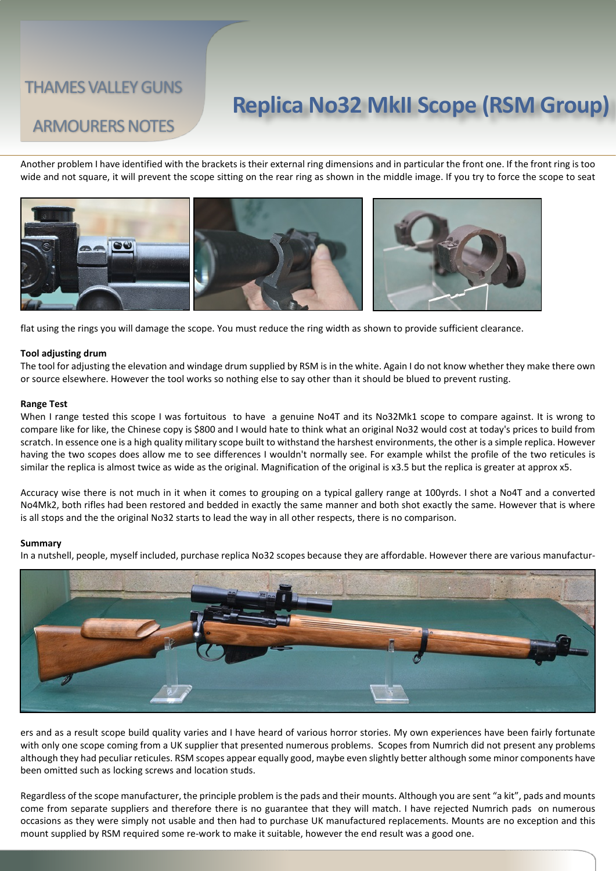## **Replica No32 MkII Scope (RSM Group)**

## ARMOURERS NOTES

Another problem I have identified with the brackets is their external ring dimensions and in particular the front one. If the front ring is too wide and not square, it will prevent the scope sitting on the rear ring as shown in the middle image. If you try to force the scope to seat



flat using the rings you will damage the scope. You must reduce the ring width as shown to provide sufficient clearance.

#### **Tool adjusting drum**

The tool for adjusting the elevation and windage drum supplied by RSM is in the white. Again I do not know whether they make there own or source elsewhere. However the tool works so nothing else to say other than it should be blued to prevent rusting.

#### **Range Test**

When I range tested this scope I was fortuitous to have a genuine No4T and its No32Mk1 scope to compare against. It is wrong to compare like for like, the Chinese copy is \$800 and I would hate to think what an original No32 would cost at today's prices to build from scratch. In essence one is a high quality military scope built to withstand the harshest environments, the other is a simple replica. However having the two scopes does allow me to see differences I wouldn't normally see. For example whilst the profile of the two reticules is similar the replica is almost twice as wide as the original. Magnification of the original is x3.5 but the replica is greater at approx x5.

Accuracy wise there is not much in it when it comes to grouping on a typical gallery range at 100yrds. I shot a No4T and a converted No4Mk2, both rifles had been restored and bedded in exactly the same manner and both shot exactly the same. However that is where is all stops and the the original No32 starts to lead the way in all other respects, there is no comparison.

#### **Summary**

In a nutshell, people, myself included, purchase replica No32 scopes because they are affordable. However there are various manufactur-



ers and as a result scope build quality varies and I have heard of various horror stories. My own experiences have been fairly fortunate with only one scope coming from a UK supplier that presented numerous problems. Scopes from Numrich did not present any problems although they had peculiar reticules. RSM scopes appear equally good, maybe even slightly better although some minor components have been omitted such as locking screws and location studs.

Regardless of the scope manufacturer, the principle problem is the pads and their mounts. Although you are sent "a kit", pads and mounts come from separate suppliers and therefore there is no guarantee that they will match. I have rejected Numrich pads on numerous occasions as they were simply not usable and then had to purchase UK manufactured replacements. Mounts are no exception and this mount supplied by RSM required some re-work to make it suitable, however the end result was a good one.